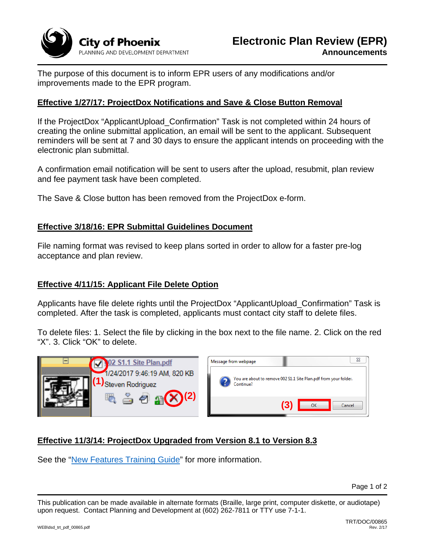

The purpose of this document is to inform EPR users of any modifications and/or improvements made to the EPR program.

# **Effective 1/27/17: ProjectDox Notifications and Save & Close Button Removal**

If the ProjectDox "ApplicantUpload\_Confirmation" Task is not completed within 24 hours of creating the online submittal application, an email will be sent to the applicant. Subsequent reminders will be sent at 7 and 30 days to ensure the applicant intends on proceeding with the electronic plan submittal.

A confirmation email notification will be sent to users after the upload, resubmit, plan review and fee payment task have been completed.

The Save & Close button has been removed from the ProjectDox e-form.

#### **Effective 3/18/16: EPR Submittal Guidelines Document**

File naming format was revised to keep plans sorted in order to allow for a faster pre-log acceptance and plan review.

### **Effective 4/11/15: Applicant File Delete Option**

Applicants have file delete rights until the ProjectDox "ApplicantUpload\_Confirmation" Task is completed. After the task is completed, applicants must contact city staff to delete files.

To delete files: 1. Select the file by clicking in the box next to the file name. 2. Click on the red "X". 3. Click "OK" to delete.



# **Effective 11/3/14: ProjectDox Upgraded from Version 8.1 to Version 8.3**

See the "New Features Training Guide" for more information.

This publication can be made available in alternate formats (Braille, large print, computer diskette, or audiotape) upon request. Contact Planning and Development at (602) 262-7811 or TTY use 7-1-1.